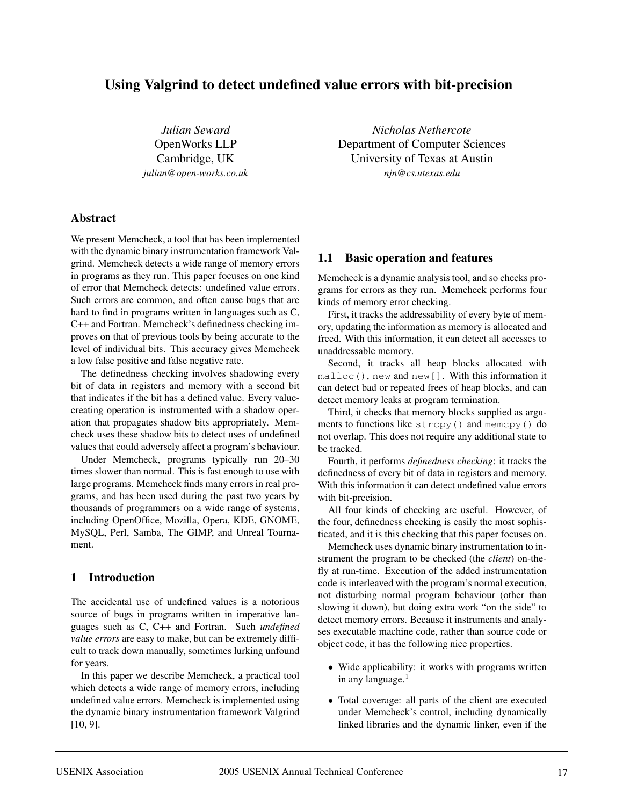# **Using Valgrind to detect undefined value errors with bit-precision**

*Julian Seward* OpenWorks LLP Cambridge, UK *julian@open-works.co.uk*

**Abstract**

We present Memcheck, a tool that has been implemented with the dynamic binary instrumentation framework Valgrind. Memcheck detects a wide range of memory errors in programs as they run. This paper focuses on one kind of error that Memcheck detects: undefined value errors. Such errors are common, and often cause bugs that are hard to find in programs written in languages such as C, C++ and Fortran. Memcheck's definedness checking improves on that of previous tools by being accurate to the level of individual bits. This accuracy gives Memcheck a low false positive and false negative rate.

The definedness checking involves shadowing every bit of data in registers and memory with a second bit that indicates if the bit has a defined value. Every valuecreating operation is instrumented with a shadow operation that propagates shadow bits appropriately. Memcheck uses these shadow bits to detect uses of undefined values that could adversely affect a program's behaviour.

Under Memcheck, programs typically run 20–30 times slower than normal. This is fast enough to use with large programs. Memcheck finds many errors in real programs, and has been used during the past two years by thousands of programmers on a wide range of systems, including OpenOffice, Mozilla, Opera, KDE, GNOME, MySQL, Perl, Samba, The GIMP, and Unreal Tournament.

### **1 Introduction**

The accidental use of undefined values is a notorious source of bugs in programs written in imperative languages such as C, C++ and Fortran. Such *undefined value errors* are easy to make, but can be extremely difficult to track down manually, sometimes lurking unfound for years.

In this paper we describe Memcheck, a practical tool which detects a wide range of memory errors, including undefined value errors. Memcheck is implemented using the dynamic binary instrumentation framework Valgrind [10, 9].

*Nicholas Nethercote* Department of Computer Sciences University of Texas at Austin *njn@cs.utexas.edu*

#### **1.1 Basic operation and features**

Memcheck is a dynamic analysis tool, and so checks programs for errors as they run. Memcheck performs four kinds of memory error checking.

First, it tracks the addressability of every byte of memory, updating the information as memory is allocated and freed. With this information, it can detect all accesses to unaddressable memory.

Second, it tracks all heap blocks allocated with malloc(), new and new[]. With this information it can detect bad or repeated frees of heap blocks, and can detect memory leaks at program termination.

Third, it checks that memory blocks supplied as arguments to functions like strcpy() and memcpy() do not overlap. This does not require any additional state to be tracked.

Fourth, it performs *definedness checking*: it tracks the definedness of every bit of data in registers and memory. With this information it can detect undefined value errors with bit-precision.

All four kinds of checking are useful. However, of the four, definedness checking is easily the most sophisticated, and it is this checking that this paper focuses on.

Memcheck uses dynamic binary instrumentation to instrument the program to be checked (the *client*) on-thefly at run-time. Execution of the added instrumentation code is interleaved with the program's normal execution, not disturbing normal program behaviour (other than slowing it down), but doing extra work "on the side" to detect memory errors. Because it instruments and analyses executable machine code, rather than source code or object code, it has the following nice properties.

- Wide applicability: it works with programs written in any language. $<sup>1</sup>$ </sup>
- Total coverage: all parts of the client are executed under Memcheck's control, including dynamically linked libraries and the dynamic linker, even if the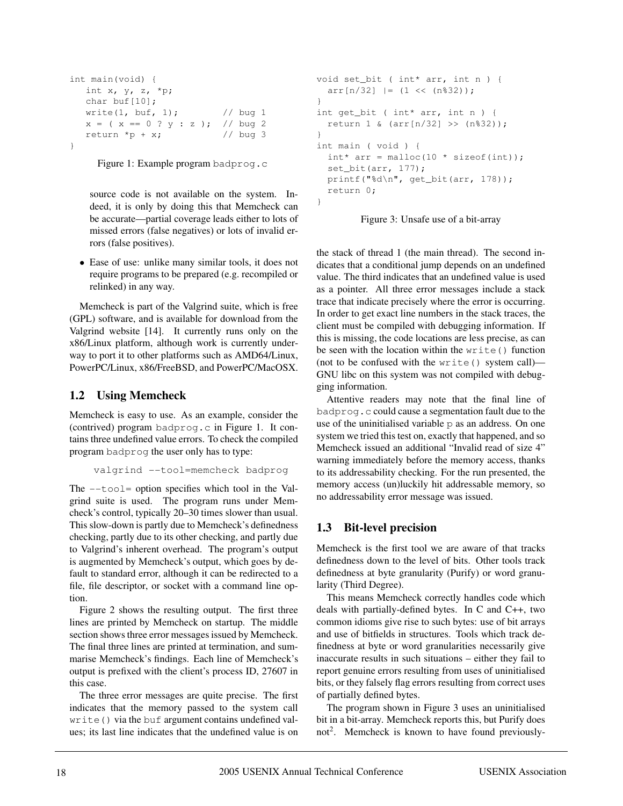```
int main(void) {
  int x, y, z, *p;
  char buf[10];
  write(1, buf, 1); // bug 1
  x = (x == 0 ? y : z ); // bug 2return *p + x; // bug 3
}
```
Figure 1: Example program badprog.c

source code is not available on the system. Indeed, it is only by doing this that Memcheck can be accurate—partial coverage leads either to lots of missed errors (false negatives) or lots of invalid errors (false positives).

• Ease of use: unlike many similar tools, it does not require programs to be prepared (e.g. recompiled or relinked) in any way.

Memcheck is part of the Valgrind suite, which is free (GPL) software, and is available for download from the Valgrind website [14]. It currently runs only on the x86/Linux platform, although work is currently underway to port it to other platforms such as AMD64/Linux, PowerPC/Linux, x86/FreeBSD, and PowerPC/MacOSX.

### **1.2 Using Memcheck**

Memcheck is easy to use. As an example, consider the (contrived) program badprog.c in Figure 1. It contains three undefined value errors. To check the compiled program badprog the user only has to type:

```
valgrind --tool=memcheck badprog
```
The  $-\text{tool}$  = option specifies which tool in the Valgrind suite is used. The program runs under Memcheck's control, typically 20–30 times slower than usual. This slow-down is partly due to Memcheck's definedness checking, partly due to its other checking, and partly due to Valgrind's inherent overhead. The program's output is augmented by Memcheck's output, which goes by default to standard error, although it can be redirected to a file, file descriptor, or socket with a command line option.

Figure 2 shows the resulting output. The first three lines are printed by Memcheck on startup. The middle section shows three error messages issued by Memcheck. The final three lines are printed at termination, and summarise Memcheck's findings. Each line of Memcheck's output is prefixed with the client's process ID, 27607 in this case.

The three error messages are quite precise. The first indicates that the memory passed to the system call write() via the buf argument contains undefined values; its last line indicates that the undefined value is on

```
void set_bit ( int* arr, int n ) {
  arr[n/32] |= (1 \le (n\32));
}
int get_bit ( int* arr, int n ) {
 return 1 & (arr[n/32] >> (n%32));
}
int main ( void ) {
 int* arr = malloc(10 * sizeof(int));set_bit(arr, 177);
  printf("%d\n", get_bit(arr, 178));
  return 0;
}
```


the stack of thread 1 (the main thread). The second indicates that a conditional jump depends on an undefined value. The third indicates that an undefined value is used as a pointer. All three error messages include a stack trace that indicate precisely where the error is occurring. In order to get exact line numbers in the stack traces, the client must be compiled with debugging information. If this is missing, the code locations are less precise, as can be seen with the location within the write() function (not to be confused with the write() system call)— GNU libc on this system was not compiled with debugging information.

Attentive readers may note that the final line of badprog.c could cause a segmentation fault due to the use of the uninitialised variable  $p$  as an address. On one system we tried this test on, exactly that happened, and so Memcheck issued an additional "Invalid read of size 4" warning immediately before the memory access, thanks to its addressability checking. For the run presented, the memory access (un)luckily hit addressable memory, so no addressability error message was issued.

## **1.3 Bit-level precision**

Memcheck is the first tool we are aware of that tracks definedness down to the level of bits. Other tools track definedness at byte granularity (Purify) or word granularity (Third Degree).

This means Memcheck correctly handles code which deals with partially-defined bytes. In C and C++, two common idioms give rise to such bytes: use of bit arrays and use of bitfields in structures. Tools which track definedness at byte or word granularities necessarily give inaccurate results in such situations – either they fail to report genuine errors resulting from uses of uninitialised bits, or they falsely flag errors resulting from correct uses of partially defined bytes.

The program shown in Figure 3 uses an uninitialised bit in a bit-array. Memcheck reports this, but Purify does not<sup>2</sup>. Memcheck is known to have found previously-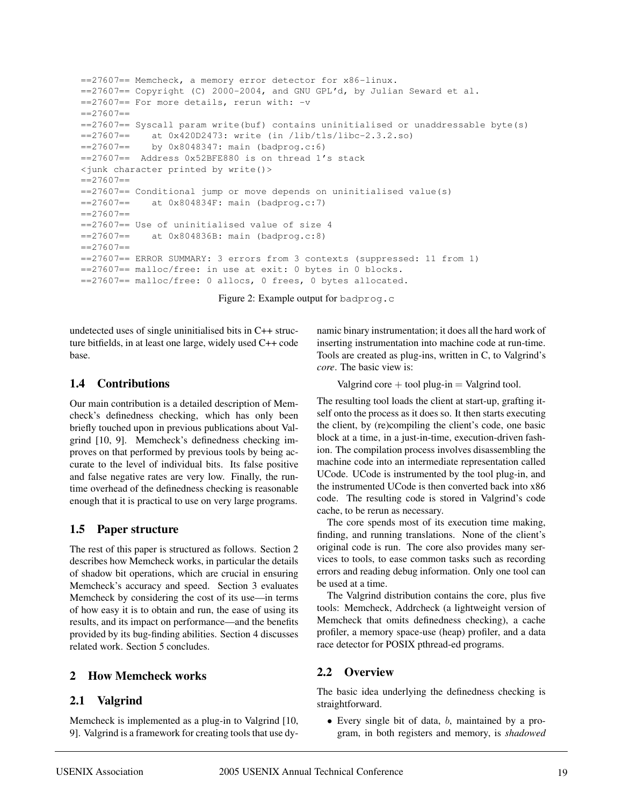```
==27607== Memcheck, a memory error detector for x86-linux.
=27607== Copyright (C) 2000-2004, and GNU GPL'd, by Julian Seward et al.
==27607== For more details, rerun with: -v
=27607===27607== Syscall param write(buf) contains uninitialised or unaddressable byte(s)
==27607== at 0x420D2473: write (in /lib/tls/libc-2.3.2.so)
==27607== by 0x8048347: main (badprog.c:6)
==27607== Address 0x52BFE880 is on thread 1's stack
<junk character printed by write()>
=27607===27607== Conditional jump or move depends on uninitialised value(s)
==27607== at 0x804834F: main (badprog.c:7)
=27607===27607== Use of uninitialised value of size 4
==27607== at 0x804836B: main (badprog.c:8)
=27607===27607== ERROR SUMMARY: 3 errors from 3 contexts (suppressed: 11 from 1)
==27607== malloc/free: in use at exit: 0 bytes in 0 blocks.
==27607== malloc/free: 0 allocs, 0 frees, 0 bytes allocated.
```
Figure 2: Example output for badprog.c

undetected uses of single uninitialised bits in C++ structure bitfields, in at least one large, widely used C++ code base.

### **1.4 Contributions**

Our main contribution is a detailed description of Memcheck's definedness checking, which has only been briefly touched upon in previous publications about Valgrind [10, 9]. Memcheck's definedness checking improves on that performed by previous tools by being accurate to the level of individual bits. Its false positive and false negative rates are very low. Finally, the runtime overhead of the definedness checking is reasonable enough that it is practical to use on very large programs.

## **1.5 Paper structure**

The rest of this paper is structured as follows. Section 2 describes how Memcheck works, in particular the details of shadow bit operations, which are crucial in ensuring Memcheck's accuracy and speed. Section 3 evaluates Memcheck by considering the cost of its use—in terms of how easy it is to obtain and run, the ease of using its results, and its impact on performance—and the benefits provided by its bug-finding abilities. Section 4 discusses related work. Section 5 concludes.

# **2 How Memcheck works**

## **2.1 Valgrind**

Memcheck is implemented as a plug-in to Valgrind [10, 9]. Valgrind is a framework for creating tools that use dynamic binary instrumentation; it does all the hard work of inserting instrumentation into machine code at run-time. Tools are created as plug-ins, written in C, to Valgrind's *core*. The basic view is:

Valgrind core  $+$  tool plug-in  $=$  Valgrind tool.

The resulting tool loads the client at start-up, grafting itself onto the process as it does so. It then starts executing the client, by (re)compiling the client's code, one basic block at a time, in a just-in-time, execution-driven fashion. The compilation process involves disassembling the machine code into an intermediate representation called UCode. UCode is instrumented by the tool plug-in, and the instrumented UCode is then converted back into x86 code. The resulting code is stored in Valgrind's code cache, to be rerun as necessary.

The core spends most of its execution time making, finding, and running translations. None of the client's original code is run. The core also provides many services to tools, to ease common tasks such as recording errors and reading debug information. Only one tool can be used at a time.

The Valgrind distribution contains the core, plus five tools: Memcheck, Addrcheck (a lightweight version of Memcheck that omits definedness checking), a cache profiler, a memory space-use (heap) profiler, and a data race detector for POSIX pthread-ed programs.

# **2.2 Overview**

The basic idea underlying the definedness checking is straightforward.

• Every single bit of data, b, maintained by a program, in both registers and memory, is *shadowed*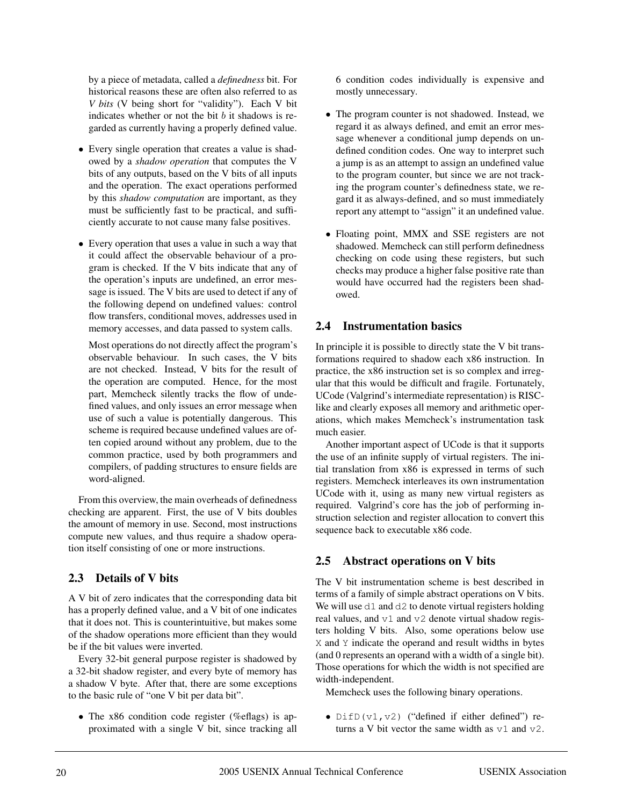by a piece of metadata, called a *definedness* bit. For historical reasons these are often also referred to as *V bits* (V being short for "validity"). Each V bit indicates whether or not the bit  $b$  it shadows is regarded as currently having a properly defined value.

- Every single operation that creates a value is shadowed by a *shadow operation* that computes the V bits of any outputs, based on the V bits of all inputs and the operation. The exact operations performed by this *shadow computation* are important, as they must be sufficiently fast to be practical, and sufficiently accurate to not cause many false positives.
- Every operation that uses a value in such a way that it could affect the observable behaviour of a program is checked. If the V bits indicate that any of the operation's inputs are undefined, an error message is issued. The V bits are used to detect if any of the following depend on undefined values: control flow transfers, conditional moves, addresses used in memory accesses, and data passed to system calls.

Most operations do not directly affect the program's observable behaviour. In such cases, the V bits are not checked. Instead, V bits for the result of the operation are computed. Hence, for the most part, Memcheck silently tracks the flow of undefined values, and only issues an error message when use of such a value is potentially dangerous. This scheme is required because undefined values are often copied around without any problem, due to the common practice, used by both programmers and compilers, of padding structures to ensure fields are word-aligned.

From this overview, the main overheads of definedness checking are apparent. First, the use of V bits doubles the amount of memory in use. Second, most instructions compute new values, and thus require a shadow operation itself consisting of one or more instructions.

# **2.3 Details of V bits**

A V bit of zero indicates that the corresponding data bit has a properly defined value, and a V bit of one indicates that it does not. This is counterintuitive, but makes some of the shadow operations more efficient than they would be if the bit values were inverted.

Every 32-bit general purpose register is shadowed by a 32-bit shadow register, and every byte of memory has a shadow V byte. After that, there are some exceptions to the basic rule of "one V bit per data bit".

• The x86 condition code register (%eflags) is approximated with a single V bit, since tracking all 6 condition codes individually is expensive and mostly unnecessary.

- The program counter is not shadowed. Instead, we regard it as always defined, and emit an error message whenever a conditional jump depends on undefined condition codes. One way to interpret such a jump is as an attempt to assign an undefined value to the program counter, but since we are not tracking the program counter's definedness state, we regard it as always-defined, and so must immediately report any attempt to "assign" it an undefined value.
- Floating point, MMX and SSE registers are not shadowed. Memcheck can still perform definedness checking on code using these registers, but such checks may produce a higher false positive rate than would have occurred had the registers been shadowed.

## **2.4 Instrumentation basics**

In principle it is possible to directly state the V bit transformations required to shadow each x86 instruction. In practice, the x86 instruction set is so complex and irregular that this would be difficult and fragile. Fortunately, UCode (Valgrind's intermediate representation) is RISClike and clearly exposes all memory and arithmetic operations, which makes Memcheck's instrumentation task much easier.

Another important aspect of UCode is that it supports the use of an infinite supply of virtual registers. The initial translation from x86 is expressed in terms of such registers. Memcheck interleaves its own instrumentation UCode with it, using as many new virtual registers as required. Valgrind's core has the job of performing instruction selection and register allocation to convert this sequence back to executable x86 code.

# **2.5 Abstract operations on V bits**

The V bit instrumentation scheme is best described in terms of a family of simple abstract operations on V bits. We will use  $d1$  and  $d2$  to denote virtual registers holding real values, and v1 and v2 denote virtual shadow registers holding V bits. Also, some operations below use X and Y indicate the operand and result widths in bytes (and 0 represents an operand with a width of a single bit). Those operations for which the width is not specified are width-independent.

Memcheck uses the following binary operations.

• DifD( $v1$ ,  $v2$ ) ("defined if either defined") returns a V bit vector the same width as  $v1$  and  $v2$ .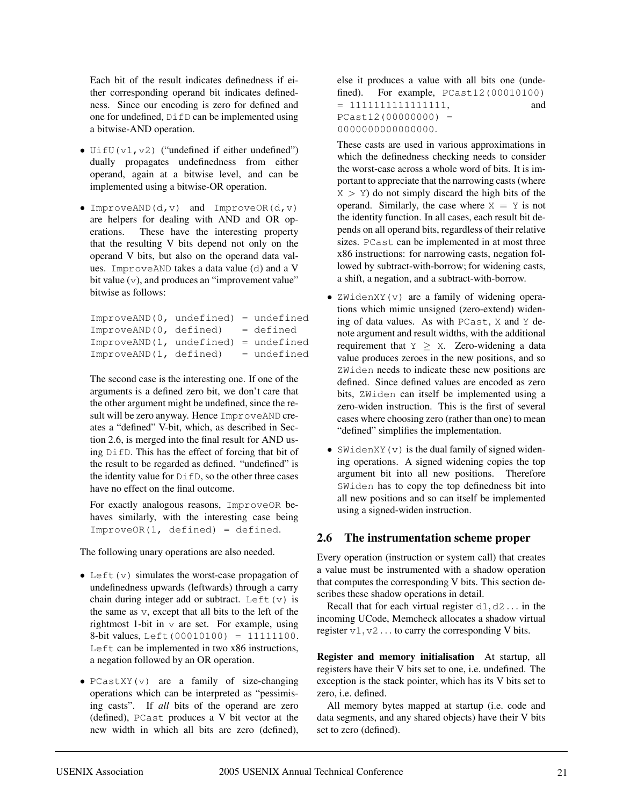Each bit of the result indicates definedness if either corresponding operand bit indicates definedness. Since our encoding is zero for defined and one for undefined, DifD can be implemented using a bitwise-AND operation.

- UifU( $v1$ ,  $v2$ ) ("undefined if either undefined") dually propagates undefinedness from either operand, again at a bitwise level, and can be implemented using a bitwise-OR operation.
- ImproveAND $(d, v)$  and ImproveOR $(d, v)$ are helpers for dealing with AND and OR operations. These have the interesting property that the resulting V bits depend not only on the operand V bits, but also on the operand data values. ImproveAND takes a data value (d) and a V bit value (v), and produces an "improvement value" bitwise as follows:

ImproveAND(0, undefined) = undefined ImproveAND(0, defined) = defined ImproveAND(1, undefined) = undefined  $ImproveAND(1, defined) = undefined$ 

The second case is the interesting one. If one of the arguments is a defined zero bit, we don't care that the other argument might be undefined, since the result will be zero anyway. Hence ImproveAND creates a "defined" V-bit, which, as described in Section 2.6, is merged into the final result for AND using DifD. This has the effect of forcing that bit of the result to be regarded as defined. "undefined" is the identity value for DifD, so the other three cases have no effect on the final outcome.

For exactly analogous reasons, ImproveOR behaves similarly, with the interesting case being ImproveOR(1, defined) = defined.

The following unary operations are also needed.

- Left $(v)$  simulates the worst-case propagation of undefinedness upwards (leftwards) through a carry chain during integer add or subtract. Left $(v)$  is the same as v, except that all bits to the left of the rightmost 1-bit in  $\nu$  are set. For example, using 8-bit values, Left(00010100) = 11111100. Left can be implemented in two x86 instructions, a negation followed by an OR operation.
- PCastXY( $\nu$ ) are a family of size-changing operations which can be interpreted as "pessimising casts". If *all* bits of the operand are zero (defined), PCast produces a V bit vector at the new width in which all bits are zero (defined),

else it produces a value with all bits one (undefined). For example, PCast12(00010100) = 1111111111111111, and  $PCast12(00000000) =$ 0000000000000000.

These casts are used in various approximations in which the definedness checking needs to consider the worst-case across a whole word of bits. It is important to appreciate that the narrowing casts (where  $X > Y$ ) do not simply discard the high bits of the operand. Similarly, the case where  $X = Y$  is not the identity function. In all cases, each result bit depends on all operand bits, regardless of their relative sizes. PCast can be implemented in at most three x86 instructions: for narrowing casts, negation followed by subtract-with-borrow; for widening casts, a shift, a negation, and a subtract-with-borrow.

- ZWidenXY(v) are a family of widening operations which mimic unsigned (zero-extend) widening of data values. As with PCast, X and Y denote argument and result widths, with the additional requirement that  $Y \geq X$ . Zero-widening a data value produces zeroes in the new positions, and so ZWiden needs to indicate these new positions are defined. Since defined values are encoded as zero bits, ZWiden can itself be implemented using a zero-widen instruction. This is the first of several cases where choosing zero (rather than one) to mean "defined" simplifies the implementation.
- SWidenXY  $(v)$  is the dual family of signed widening operations. A signed widening copies the top argument bit into all new positions. Therefore SWiden has to copy the top definedness bit into all new positions and so can itself be implemented using a signed-widen instruction.

## **2.6 The instrumentation scheme proper**

Every operation (instruction or system call) that creates a value must be instrumented with a shadow operation that computes the corresponding V bits. This section describes these shadow operations in detail.

Recall that for each virtual register  $d1, d2...$  in the incoming UCode, Memcheck allocates a shadow virtual register  $v1, v2...$  to carry the corresponding V bits.

**Register and memory initialisation** At startup, all registers have their V bits set to one, i.e. undefined. The exception is the stack pointer, which has its V bits set to zero, i.e. defined.

All memory bytes mapped at startup (i.e. code and data segments, and any shared objects) have their V bits set to zero (defined).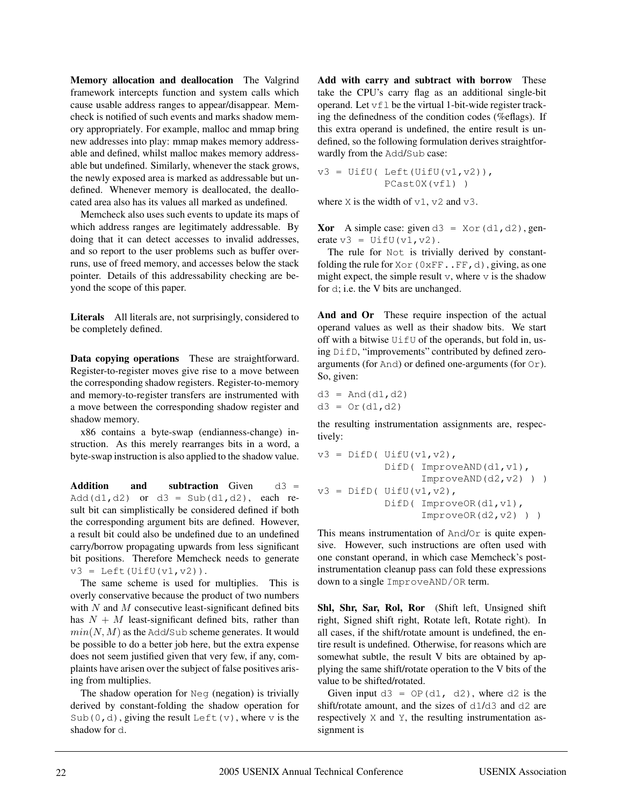**Memory allocation and deallocation** The Valgrind framework intercepts function and system calls which cause usable address ranges to appear/disappear. Memcheck is notified of such events and marks shadow memory appropriately. For example, malloc and mmap bring new addresses into play: mmap makes memory addressable and defined, whilst malloc makes memory addressable but undefined. Similarly, whenever the stack grows, the newly exposed area is marked as addressable but undefined. Whenever memory is deallocated, the deallocated area also has its values all marked as undefined.

Memcheck also uses such events to update its maps of which address ranges are legitimately addressable. By doing that it can detect accesses to invalid addresses, and so report to the user problems such as buffer overruns, use of freed memory, and accesses below the stack pointer. Details of this addressability checking are beyond the scope of this paper.

**Literals** All literals are, not surprisingly, considered to be completely defined.

**Data copying operations** These are straightforward. Register-to-register moves give rise to a move between the corresponding shadow registers. Register-to-memory and memory-to-register transfers are instrumented with a move between the corresponding shadow register and shadow memory.

x86 contains a byte-swap (endianness-change) instruction. As this merely rearranges bits in a word, a byte-swap instruction is also applied to the shadow value.

**Addition** and subtraction Given d3 = Add(d1,d2) or  $d3 = Sub(d1, d2)$ , each result bit can simplistically be considered defined if both the corresponding argument bits are defined. However, a result bit could also be undefined due to an undefined carry/borrow propagating upwards from less significant bit positions. Therefore Memcheck needs to generate  $v3 = \text{Left}(\text{UifU}(v1, v2))$ .

The same scheme is used for multiplies. This is overly conservative because the product of two numbers with  $N$  and  $M$  consecutive least-significant defined bits has  $N + M$  least-significant defined bits, rather than  $min(N, M)$  as the Add/Sub scheme generates. It would be possible to do a better job here, but the extra expense does not seem justified given that very few, if any, complaints have arisen over the subject of false positives arising from multiplies.

The shadow operation for Neg (negation) is trivially derived by constant-folding the shadow operation for Sub(0,d), giving the result Left(v), where v is the shadow for d.

**Add with carry and subtract with borrow** These take the CPU's carry flag as an additional single-bit operand. Let  $v \in L$  be the virtual 1-bit-wide register tracking the definedness of the condition codes (%eflags). If this extra operand is undefined, the entire result is undefined, so the following formulation derives straightforwardly from the Add/Sub case:

 $v3 = \text{UifU}(\text{Left}(\text{UifU}(v1,v2))),$ PCast0X(vfl) )

where X is the width of  $v1$ ,  $v2$  and  $v3$ .

**Xor** A simple case: given  $d3 = Xor(d1, d2)$ , generate  $v3 = \text{UifU}(v1, v2)$ .

The rule for Not is trivially derived by constantfolding the rule for  $Xor(0xFF...FF, d)$ , giving, as one might expect, the simple result  $\nu$ , where  $\nu$  is the shadow for d; i.e. the V bits are unchanged.

**And and Or** These require inspection of the actual operand values as well as their shadow bits. We start off with a bitwise UifU of the operands, but fold in, using DifD, "improvements" contributed by defined zeroarguments (for And) or defined one-arguments (for Or). So, given:

 $d3 = And(d1, d2)$  $d3 = Or(d1, d2)$ 

the resulting instrumentation assignments are, respectively:

```
v3 = Diff( UifU(v1, v2),
           DifD( ImproveAND(d1, v1),
                  ImproveAND(d2,v2) ) )
v3 = Diff( UifU(v1, v2),
           DifD( ImproveOR(d1, v1),
                  ImproveOR(d2,v2) ) )
```
This means instrumentation of And/Or is quite expensive. However, such instructions are often used with one constant operand, in which case Memcheck's postinstrumentation cleanup pass can fold these expressions down to a single ImproveAND/OR term.

**Shl, Shr, Sar, Rol, Ror** (Shift left, Unsigned shift right, Signed shift right, Rotate left, Rotate right). In all cases, if the shift/rotate amount is undefined, the entire result is undefined. Otherwise, for reasons which are somewhat subtle, the result V bits are obtained by applying the same shift/rotate operation to the V bits of the value to be shifted/rotated.

Given input  $d3 = OP(d1, d2)$ , where d2 is the shift/rotate amount, and the sizes of d1/d3 and d2 are respectively X and Y, the resulting instrumentation assignment is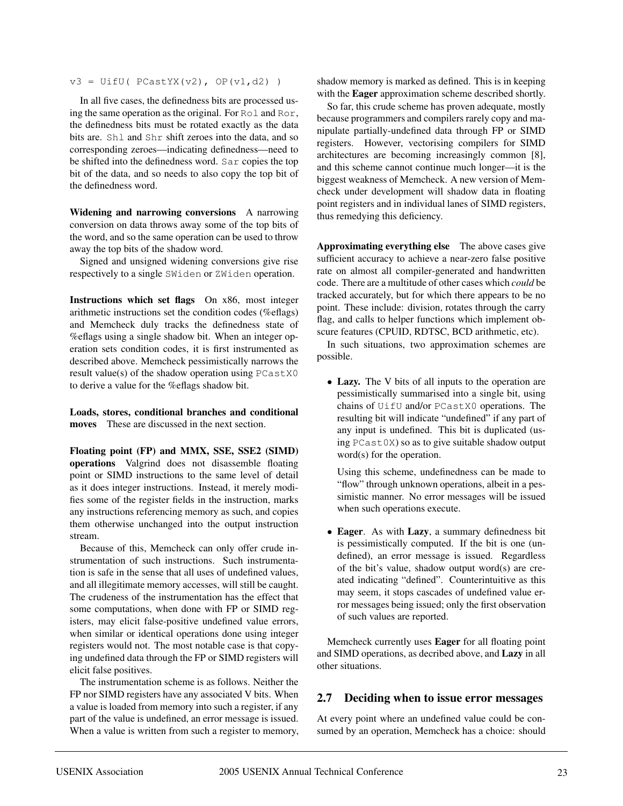$v3 = \text{UifU}(\text{PCastYX}(v2), \text{OP}(v1, d2))$ 

In all five cases, the definedness bits are processed using the same operation as the original. For Rol and Ror, the definedness bits must be rotated exactly as the data bits are. Shl and Shr shift zeroes into the data, and so corresponding zeroes—indicating definedness—need to be shifted into the definedness word. Sar copies the top bit of the data, and so needs to also copy the top bit of the definedness word.

**Widening and narrowing conversions** A narrowing conversion on data throws away some of the top bits of the word, and so the same operation can be used to throw away the top bits of the shadow word.

Signed and unsigned widening conversions give rise respectively to a single SWiden or ZWiden operation.

**Instructions which set flags** On x86, most integer arithmetic instructions set the condition codes (%eflags) and Memcheck duly tracks the definedness state of %eflags using a single shadow bit. When an integer operation sets condition codes, it is first instrumented as described above. Memcheck pessimistically narrows the result value(s) of the shadow operation using PCastX0 to derive a value for the %eflags shadow bit.

**Loads, stores, conditional branches and conditional moves** These are discussed in the next section.

**Floating point (FP) and MMX, SSE, SSE2 (SIMD) operations** Valgrind does not disassemble floating point or SIMD instructions to the same level of detail as it does integer instructions. Instead, it merely modifies some of the register fields in the instruction, marks any instructions referencing memory as such, and copies them otherwise unchanged into the output instruction stream.

Because of this, Memcheck can only offer crude instrumentation of such instructions. Such instrumentation is safe in the sense that all uses of undefined values, and all illegitimate memory accesses, will still be caught. The crudeness of the instrumentation has the effect that some computations, when done with FP or SIMD registers, may elicit false-positive undefined value errors, when similar or identical operations done using integer registers would not. The most notable case is that copying undefined data through the FP or SIMD registers will elicit false positives.

The instrumentation scheme is as follows. Neither the FP nor SIMD registers have any associated V bits. When a value is loaded from memory into such a register, if any part of the value is undefined, an error message is issued. When a value is written from such a register to memory, shadow memory is marked as defined. This is in keeping with the **Eager** approximation scheme described shortly.

So far, this crude scheme has proven adequate, mostly because programmers and compilers rarely copy and manipulate partially-undefined data through FP or SIMD registers. However, vectorising compilers for SIMD architectures are becoming increasingly common [8], and this scheme cannot continue much longer—it is the biggest weakness of Memcheck. A new version of Memcheck under development will shadow data in floating point registers and in individual lanes of SIMD registers, thus remedying this deficiency.

**Approximating everything else** The above cases give sufficient accuracy to achieve a near-zero false positive rate on almost all compiler-generated and handwritten code. There are a multitude of other cases which *could* be tracked accurately, but for which there appears to be no point. These include: division, rotates through the carry flag, and calls to helper functions which implement obscure features (CPUID, RDTSC, BCD arithmetic, etc).

In such situations, two approximation schemes are possible.

• **Lazy.** The V bits of all inputs to the operation are pessimistically summarised into a single bit, using chains of UifU and/or PCastX0 operations. The resulting bit will indicate "undefined" if any part of any input is undefined. This bit is duplicated (using PCast0X) so as to give suitable shadow output word(s) for the operation.

Using this scheme, undefinedness can be made to "flow" through unknown operations, albeit in a pessimistic manner. No error messages will be issued when such operations execute.

• **Eager**. As with **Lazy**, a summary definedness bit is pessimistically computed. If the bit is one (undefined), an error message is issued. Regardless of the bit's value, shadow output word(s) are created indicating "defined". Counterintuitive as this may seem, it stops cascades of undefined value error messages being issued; only the first observation of such values are reported.

Memcheck currently uses **Eager** for all floating point and SIMD operations, as decribed above, and **Lazy** in all other situations.

#### **2.7 Deciding when to issue error messages**

At every point where an undefined value could be consumed by an operation, Memcheck has a choice: should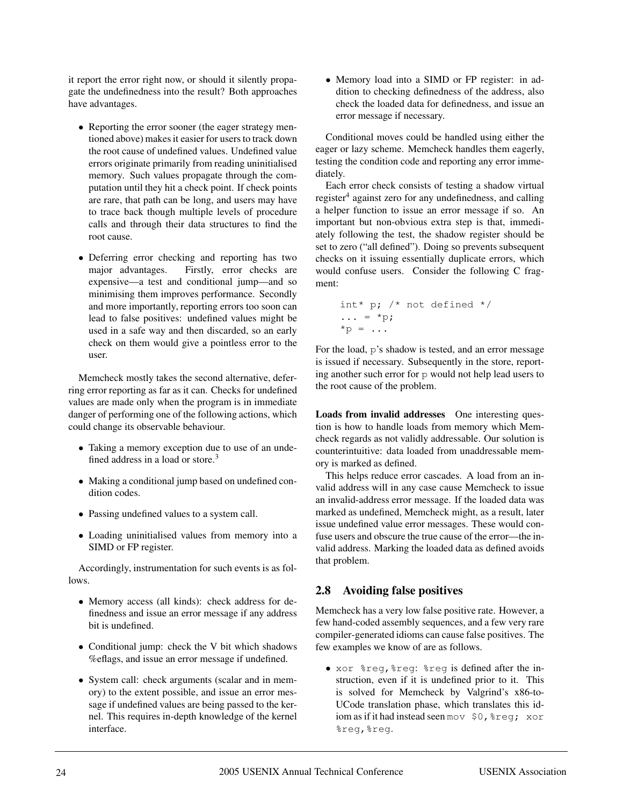it report the error right now, or should it silently propagate the undefinedness into the result? Both approaches have advantages.

- Reporting the error sooner (the eager strategy mentioned above) makes it easier for users to track down the root cause of undefined values. Undefined value errors originate primarily from reading uninitialised memory. Such values propagate through the computation until they hit a check point. If check points are rare, that path can be long, and users may have to trace back though multiple levels of procedure calls and through their data structures to find the root cause.
- Deferring error checking and reporting has two major advantages. Firstly, error checks are expensive—a test and conditional jump—and so minimising them improves performance. Secondly and more importantly, reporting errors too soon can lead to false positives: undefined values might be used in a safe way and then discarded, so an early check on them would give a pointless error to the user.

Memcheck mostly takes the second alternative, deferring error reporting as far as it can. Checks for undefined values are made only when the program is in immediate danger of performing one of the following actions, which could change its observable behaviour.

- Taking a memory exception due to use of an undefined address in a load or store.<sup>3</sup>
- Making a conditional jump based on undefined condition codes.
- Passing undefined values to a system call.
- Loading uninitialised values from memory into a SIMD or FP register.

Accordingly, instrumentation for such events is as follows.

- Memory access (all kinds): check address for definedness and issue an error message if any address bit is undefined.
- Conditional jump: check the V bit which shadows %eflags, and issue an error message if undefined.
- System call: check arguments (scalar and in memory) to the extent possible, and issue an error message if undefined values are being passed to the kernel. This requires in-depth knowledge of the kernel interface.

• Memory load into a SIMD or FP register: in addition to checking definedness of the address, also check the loaded data for definedness, and issue an error message if necessary.

Conditional moves could be handled using either the eager or lazy scheme. Memcheck handles them eagerly, testing the condition code and reporting any error immediately.

Each error check consists of testing a shadow virtual register $4$  against zero for any undefinedness, and calling a helper function to issue an error message if so. An important but non-obvious extra step is that, immediately following the test, the shadow register should be set to zero ("all defined"). Doing so prevents subsequent checks on it issuing essentially duplicate errors, which would confuse users. Consider the following C fragment:

```
int* p; /* not defined */
\ldots = *p;
*_{p} = ...
```
For the load, p's shadow is tested, and an error message is issued if necessary. Subsequently in the store, reporting another such error for  $p$  would not help lead users to the root cause of the problem.

**Loads from invalid addresses** One interesting question is how to handle loads from memory which Memcheck regards as not validly addressable. Our solution is counterintuitive: data loaded from unaddressable memory is marked as defined.

This helps reduce error cascades. A load from an invalid address will in any case cause Memcheck to issue an invalid-address error message. If the loaded data was marked as undefined, Memcheck might, as a result, later issue undefined value error messages. These would confuse users and obscure the true cause of the error—the invalid address. Marking the loaded data as defined avoids that problem.

# **2.8 Avoiding false positives**

Memcheck has a very low false positive rate. However, a few hand-coded assembly sequences, and a few very rare compiler-generated idioms can cause false positives. The few examples we know of are as follows.

• xor %reg,%reg: %reg is defined after the instruction, even if it is undefined prior to it. This is solved for Memcheck by Valgrind's x86-to-UCode translation phase, which translates this idiom as if it had instead seen mov \$0,%reg; xor %reg,%reg.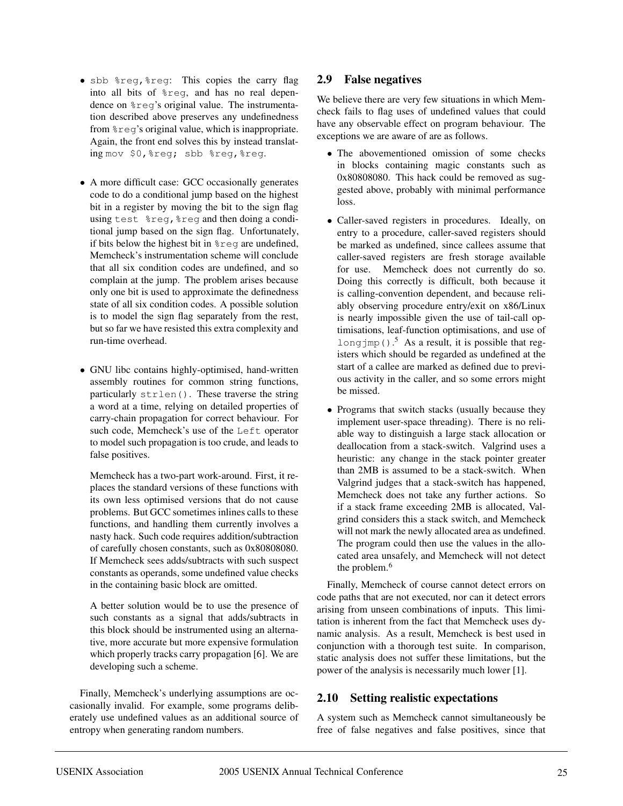- sbb %reg,%reg: This copies the carry flag into all bits of %reg, and has no real dependence on %reg's original value. The instrumentation described above preserves any undefinedness from %reg's original value, which is inappropriate. Again, the front end solves this by instead translating mov \$0,%reg; sbb %reg,%reg.
- A more difficult case: GCC occasionally generates code to do a conditional jump based on the highest bit in a register by moving the bit to the sign flag using test %reg,%reg and then doing a conditional jump based on the sign flag. Unfortunately, if bits below the highest bit in %reg are undefined, Memcheck's instrumentation scheme will conclude that all six condition codes are undefined, and so complain at the jump. The problem arises because only one bit is used to approximate the definedness state of all six condition codes. A possible solution is to model the sign flag separately from the rest, but so far we have resisted this extra complexity and run-time overhead.
- GNU libc contains highly-optimised, hand-written assembly routines for common string functions, particularly strlen(). These traverse the string a word at a time, relying on detailed properties of carry-chain propagation for correct behaviour. For such code, Memcheck's use of the Left operator to model such propagation is too crude, and leads to false positives.

Memcheck has a two-part work-around. First, it replaces the standard versions of these functions with its own less optimised versions that do not cause problems. But GCC sometimes inlines calls to these functions, and handling them currently involves a nasty hack. Such code requires addition/subtraction of carefully chosen constants, such as 0x80808080. If Memcheck sees adds/subtracts with such suspect constants as operands, some undefined value checks in the containing basic block are omitted.

A better solution would be to use the presence of such constants as a signal that adds/subtracts in this block should be instrumented using an alternative, more accurate but more expensive formulation which properly tracks carry propagation [6]. We are developing such a scheme.

Finally, Memcheck's underlying assumptions are occasionally invalid. For example, some programs deliberately use undefined values as an additional source of entropy when generating random numbers.

## **2.9 False negatives**

We believe there are very few situations in which Memcheck fails to flag uses of undefined values that could have any observable effect on program behaviour. The exceptions we are aware of are as follows.

- The abovementioned omission of some checks in blocks containing magic constants such as 0x80808080. This hack could be removed as suggested above, probably with minimal performance loss.
- Caller-saved registers in procedures. Ideally, on entry to a procedure, caller-saved registers should be marked as undefined, since callees assume that caller-saved registers are fresh storage available for use. Memcheck does not currently do so. Doing this correctly is difficult, both because it is calling-convention dependent, and because reliably observing procedure entry/exit on x86/Linux is nearly impossible given the use of tail-call optimisations, leaf-function optimisations, and use of longimp().<sup>5</sup> As a result, it is possible that registers which should be regarded as undefined at the start of a callee are marked as defined due to previous activity in the caller, and so some errors might be missed.
- Programs that switch stacks (usually because they implement user-space threading). There is no reliable way to distinguish a large stack allocation or deallocation from a stack-switch. Valgrind uses a heuristic: any change in the stack pointer greater than 2MB is assumed to be a stack-switch. When Valgrind judges that a stack-switch has happened, Memcheck does not take any further actions. So if a stack frame exceeding 2MB is allocated, Valgrind considers this a stack switch, and Memcheck will not mark the newly allocated area as undefined. The program could then use the values in the allocated area unsafely, and Memcheck will not detect the problem.<sup>6</sup>

Finally, Memcheck of course cannot detect errors on code paths that are not executed, nor can it detect errors arising from unseen combinations of inputs. This limitation is inherent from the fact that Memcheck uses dynamic analysis. As a result, Memcheck is best used in conjunction with a thorough test suite. In comparison, static analysis does not suffer these limitations, but the power of the analysis is necessarily much lower [1].

## **2.10 Setting realistic expectations**

A system such as Memcheck cannot simultaneously be free of false negatives and false positives, since that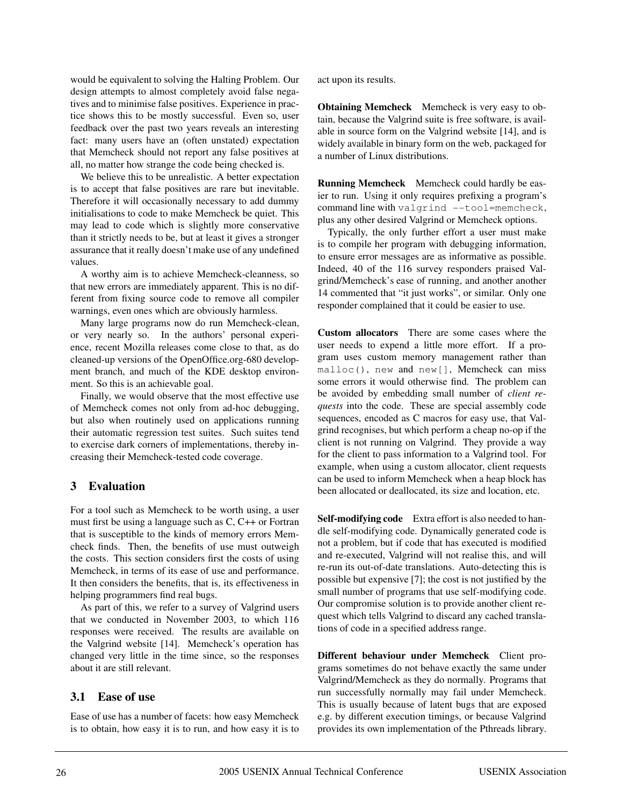would be equivalent to solving the Halting Problem. Our design attempts to almost completely avoid false negatives and to minimise false positives. Experience in practice shows this to be mostly successful. Even so, user feedback over the past two years reveals an interesting fact: many users have an (often unstated) expectation that Memcheck should not report any false positives at all, no matter how strange the code being checked is.

We believe this to be unrealistic. A better expectation is to accept that false positives are rare but inevitable. Therefore it will occasionally necessary to add dummy initialisations to code to make Memcheck be quiet. This may lead to code which is slightly more conservative than it strictly needs to be, but at least it gives a stronger assurance that it really doesn't make use of any undefined values.

A worthy aim is to achieve Memcheck-cleanness, so that new errors are immediately apparent. This is no different from fixing source code to remove all compiler warnings, even ones which are obviously harmless.

Many large programs now do run Memcheck-clean, or very nearly so. In the authors' personal experience, recent Mozilla releases come close to that, as do cleaned-up versions of the OpenOffice.org-680 development branch, and much of the KDE desktop environment. So this is an achievable goal.

Finally, we would observe that the most effective use of Memcheck comes not only from ad-hoc debugging, but also when routinely used on applications running their automatic regression test suites. Such suites tend to exercise dark corners of implementations, thereby increasing their Memcheck-tested code coverage.

## **3 Evaluation**

For a tool such as Memcheck to be worth using, a user must first be using a language such as C, C++ or Fortran that is susceptible to the kinds of memory errors Memcheck finds. Then, the benefits of use must outweigh the costs. This section considers first the costs of using Memcheck, in terms of its ease of use and performance. It then considers the benefits, that is, its effectiveness in helping programmers find real bugs.

As part of this, we refer to a survey of Valgrind users that we conducted in November 2003, to which 116 responses were received. The results are available on the Valgrind website [14]. Memcheck's operation has changed very little in the time since, so the responses about it are still relevant.

## **3.1 Ease of use**

Ease of use has a number of facets: how easy Memcheck is to obtain, how easy it is to run, and how easy it is to act upon its results.

**Obtaining Memcheck** Memcheck is very easy to obtain, because the Valgrind suite is free software, is available in source form on the Valgrind website [14], and is widely available in binary form on the web, packaged for a number of Linux distributions.

**Running Memcheck** Memcheck could hardly be easier to run. Using it only requires prefixing a program's command line with valgrind --tool=memcheck, plus any other desired Valgrind or Memcheck options.

Typically, the only further effort a user must make is to compile her program with debugging information, to ensure error messages are as informative as possible. Indeed, 40 of the 116 survey responders praised Valgrind/Memcheck's ease of running, and another another 14 commented that "it just works", or similar. Only one responder complained that it could be easier to use.

**Custom allocators** There are some cases where the user needs to expend a little more effort. If a program uses custom memory management rather than malloc(), new and new[], Memcheck can miss some errors it would otherwise find. The problem can be avoided by embedding small number of *client requests* into the code. These are special assembly code sequences, encoded as C macros for easy use, that Valgrind recognises, but which perform a cheap no-op if the client is not running on Valgrind. They provide a way for the client to pass information to a Valgrind tool. For example, when using a custom allocator, client requests can be used to inform Memcheck when a heap block has been allocated or deallocated, its size and location, etc.

**Self-modifying code** Extra effort is also needed to handle self-modifying code. Dynamically generated code is not a problem, but if code that has executed is modified and re-executed, Valgrind will not realise this, and will re-run its out-of-date translations. Auto-detecting this is possible but expensive [7]; the cost is not justified by the small number of programs that use self-modifying code. Our compromise solution is to provide another client request which tells Valgrind to discard any cached translations of code in a specified address range.

**Different behaviour under Memcheck** Client programs sometimes do not behave exactly the same under Valgrind/Memcheck as they do normally. Programs that run successfully normally may fail under Memcheck. This is usually because of latent bugs that are exposed e.g. by different execution timings, or because Valgrind provides its own implementation of the Pthreads library.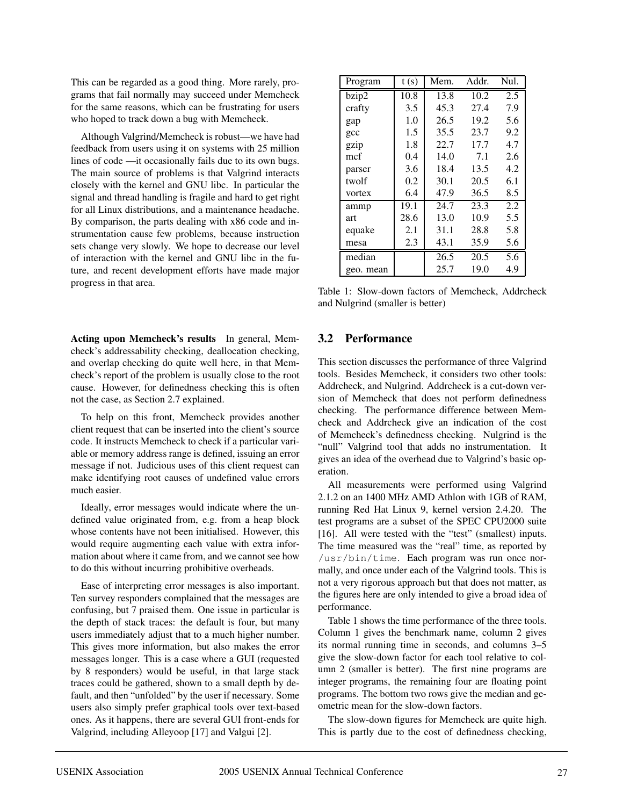This can be regarded as a good thing. More rarely, programs that fail normally may succeed under Memcheck for the same reasons, which can be frustrating for users who hoped to track down a bug with Memcheck.

Although Valgrind/Memcheck is robust—we have had feedback from users using it on systems with 25 million lines of code —it occasionally fails due to its own bugs. The main source of problems is that Valgrind interacts closely with the kernel and GNU libc. In particular the signal and thread handling is fragile and hard to get right for all Linux distributions, and a maintenance headache. By comparison, the parts dealing with x86 code and instrumentation cause few problems, because instruction sets change very slowly. We hope to decrease our level of interaction with the kernel and GNU libc in the future, and recent development efforts have made major progress in that area.

**Acting upon Memcheck's results** In general, Memcheck's addressability checking, deallocation checking, and overlap checking do quite well here, in that Memcheck's report of the problem is usually close to the root cause. However, for definedness checking this is often not the case, as Section 2.7 explained.

To help on this front, Memcheck provides another client request that can be inserted into the client's source code. It instructs Memcheck to check if a particular variable or memory address range is defined, issuing an error message if not. Judicious uses of this client request can make identifying root causes of undefined value errors much easier.

Ideally, error messages would indicate where the undefined value originated from, e.g. from a heap block whose contents have not been initialised. However, this would require augmenting each value with extra information about where it came from, and we cannot see how to do this without incurring prohibitive overheads.

Ease of interpreting error messages is also important. Ten survey responders complained that the messages are confusing, but 7 praised them. One issue in particular is the depth of stack traces: the default is four, but many users immediately adjust that to a much higher number. This gives more information, but also makes the error messages longer. This is a case where a GUI (requested by 8 responders) would be useful, in that large stack traces could be gathered, shown to a small depth by default, and then "unfolded" by the user if necessary. Some users also simply prefer graphical tools over text-based ones. As it happens, there are several GUI front-ends for Valgrind, including Alleyoop [17] and Valgui [2].

| Program         | t(s) | Mem. | Addr. | Nul. |
|-----------------|------|------|-------|------|
| bzip2           | 10.8 | 13.8 | 10.2  | 2.5  |
| crafty          | 3.5  | 45.3 | 27.4  | 7.9  |
| gap             | 1.0  | 26.5 | 19.2  | 5.6  |
| $_{\text{gcc}}$ | 1.5  | 35.5 | 23.7  | 9.2  |
| gzip            | 1.8  | 22.7 | 17.7  | 4.7  |
| mcf             | 0.4  | 14.0 | 7.1   | 2.6  |
| parser          | 3.6  | 18.4 | 13.5  | 4.2  |
| twolf           | 0.2  | 30.1 | 20.5  | 6.1  |
| vortex          | 6.4  | 47.9 | 36.5  | 8.5  |
| ammp            | 19.1 | 24.7 | 23.3  | 2.2  |
| art             | 28.6 | 13.0 | 10.9  | 5.5  |
| equake          | 2.1  | 31.1 | 28.8  | 5.8  |
| mesa            | 2.3  | 43.1 | 35.9  | 5.6  |
| median          |      | 26.5 | 20.5  | 5.6  |
| geo. mean       |      | 25.7 | 19.0  | 4.9  |

Table 1: Slow-down factors of Memcheck, Addrcheck and Nulgrind (smaller is better)

#### **3.2 Performance**

This section discusses the performance of three Valgrind tools. Besides Memcheck, it considers two other tools: Addrcheck, and Nulgrind. Addrcheck is a cut-down version of Memcheck that does not perform definedness checking. The performance difference between Memcheck and Addrcheck give an indication of the cost of Memcheck's definedness checking. Nulgrind is the "null" Valgrind tool that adds no instrumentation. It gives an idea of the overhead due to Valgrind's basic operation.

All measurements were performed using Valgrind 2.1.2 on an 1400 MHz AMD Athlon with 1GB of RAM, running Red Hat Linux 9, kernel version 2.4.20. The test programs are a subset of the SPEC CPU2000 suite [16]. All were tested with the "test" (smallest) inputs. The time measured was the "real" time, as reported by /usr/bin/time. Each program was run once normally, and once under each of the Valgrind tools. This is not a very rigorous approach but that does not matter, as the figures here are only intended to give a broad idea of performance.

Table 1 shows the time performance of the three tools. Column 1 gives the benchmark name, column 2 gives its normal running time in seconds, and columns 3–5 give the slow-down factor for each tool relative to column 2 (smaller is better). The first nine programs are integer programs, the remaining four are floating point programs. The bottom two rows give the median and geometric mean for the slow-down factors.

The slow-down figures for Memcheck are quite high. This is partly due to the cost of definedness checking,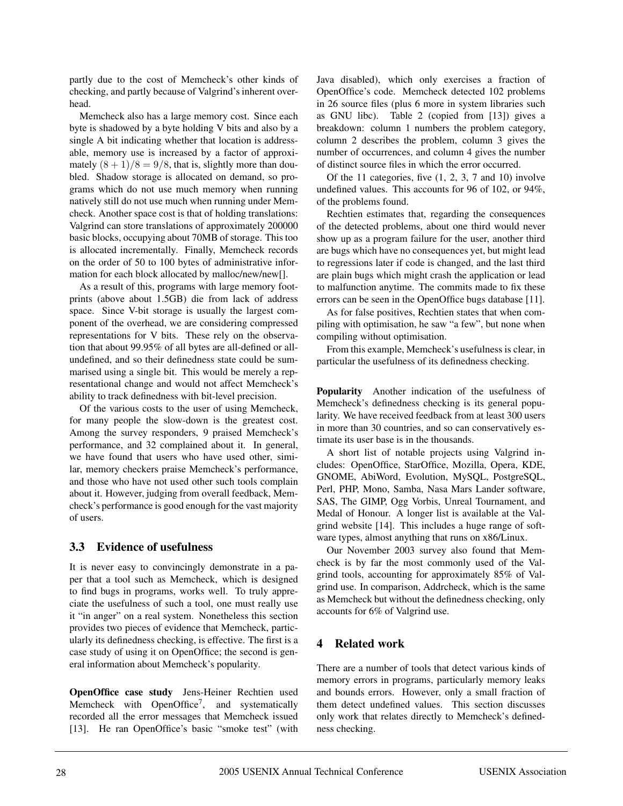partly due to the cost of Memcheck's other kinds of checking, and partly because of Valgrind's inherent overhead.

Memcheck also has a large memory cost. Since each byte is shadowed by a byte holding V bits and also by a single A bit indicating whether that location is addressable, memory use is increased by a factor of approximately  $(8 + 1)/8 = 9/8$ , that is, slightly more than doubled. Shadow storage is allocated on demand, so programs which do not use much memory when running natively still do not use much when running under Memcheck. Another space cost is that of holding translations: Valgrind can store translations of approximately 200000 basic blocks, occupying about 70MB of storage. This too is allocated incrementally. Finally, Memcheck records on the order of 50 to 100 bytes of administrative information for each block allocated by malloc/new/new[].

As a result of this, programs with large memory footprints (above about 1.5GB) die from lack of address space. Since V-bit storage is usually the largest component of the overhead, we are considering compressed representations for V bits. These rely on the observation that about 99.95% of all bytes are all-defined or allundefined, and so their definedness state could be summarised using a single bit. This would be merely a representational change and would not affect Memcheck's ability to track definedness with bit-level precision.

Of the various costs to the user of using Memcheck, for many people the slow-down is the greatest cost. Among the survey responders, 9 praised Memcheck's performance, and 32 complained about it. In general, we have found that users who have used other, similar, memory checkers praise Memcheck's performance, and those who have not used other such tools complain about it. However, judging from overall feedback, Memcheck's performance is good enough for the vast majority of users.

## **3.3 Evidence of usefulness**

It is never easy to convincingly demonstrate in a paper that a tool such as Memcheck, which is designed to find bugs in programs, works well. To truly appreciate the usefulness of such a tool, one must really use it "in anger" on a real system. Nonetheless this section provides two pieces of evidence that Memcheck, particularly its definedness checking, is effective. The first is a case study of using it on OpenOffice; the second is general information about Memcheck's popularity.

**OpenOffice case study** Jens-Heiner Rechtien used Memcheck with OpenOffice<sup>7</sup>, and systematically recorded all the error messages that Memcheck issued [13]. He ran OpenOffice's basic "smoke test" (with Java disabled), which only exercises a fraction of OpenOffice's code. Memcheck detected 102 problems in 26 source files (plus 6 more in system libraries such as GNU libc). Table 2 (copied from [13]) gives a breakdown: column 1 numbers the problem category, column 2 describes the problem, column 3 gives the number of occurrences, and column 4 gives the number of distinct source files in which the error occurred.

Of the 11 categories, five  $(1, 2, 3, 7, 7, 10)$  involve undefined values. This accounts for 96 of 102, or 94%, of the problems found.

Rechtien estimates that, regarding the consequences of the detected problems, about one third would never show up as a program failure for the user, another third are bugs which have no consequences yet, but might lead to regressions later if code is changed, and the last third are plain bugs which might crash the application or lead to malfunction anytime. The commits made to fix these errors can be seen in the OpenOffice bugs database [11].

As for false positives, Rechtien states that when compiling with optimisation, he saw "a few", but none when compiling without optimisation.

From this example, Memcheck's usefulness is clear, in particular the usefulness of its definedness checking.

**Popularity** Another indication of the usefulness of Memcheck's definedness checking is its general popularity. We have received feedback from at least 300 users in more than 30 countries, and so can conservatively estimate its user base is in the thousands.

A short list of notable projects using Valgrind includes: OpenOffice, StarOffice, Mozilla, Opera, KDE, GNOME, AbiWord, Evolution, MySQL, PostgreSQL, Perl, PHP, Mono, Samba, Nasa Mars Lander software, SAS, The GIMP, Ogg Vorbis, Unreal Tournament, and Medal of Honour. A longer list is available at the Valgrind website [14]. This includes a huge range of software types, almost anything that runs on x86/Linux.

Our November 2003 survey also found that Memcheck is by far the most commonly used of the Valgrind tools, accounting for approximately 85% of Valgrind use. In comparison, Addrcheck, which is the same as Memcheck but without the definedness checking, only accounts for 6% of Valgrind use.

## **4 Related work**

There are a number of tools that detect various kinds of memory errors in programs, particularly memory leaks and bounds errors. However, only a small fraction of them detect undefined values. This section discusses only work that relates directly to Memcheck's definedness checking.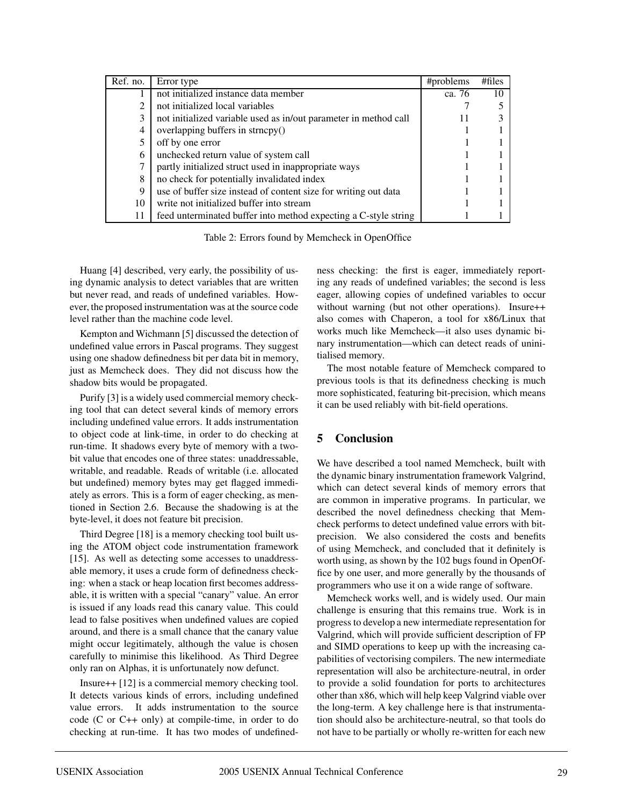| Ref. no. | Error type                                                       | #problems | # files |
|----------|------------------------------------------------------------------|-----------|---------|
|          | not initialized instance data member                             | ca. 76    | 10      |
| 2        | not initialized local variables                                  |           |         |
| 3        | not initialized variable used as in/out parameter in method call |           |         |
| 4        | overlapping buffers in strncpy()                                 |           |         |
|          | off by one error                                                 |           |         |
| 6        | unchecked return value of system call                            |           |         |
| 7        | partly initialized struct used in inappropriate ways             |           |         |
| 8        | no check for potentially invalidated index                       |           |         |
| 9        | use of buffer size instead of content size for writing out data  |           |         |
| 10       | write not initialized buffer into stream                         |           |         |
| 11       | feed unterminated buffer into method expecting a C-style string  |           |         |

Table 2: Errors found by Memcheck in OpenOffice

Huang [4] described, very early, the possibility of using dynamic analysis to detect variables that are written but never read, and reads of undefined variables. However, the proposed instrumentation was at the source code level rather than the machine code level.

Kempton and Wichmann [5] discussed the detection of undefined value errors in Pascal programs. They suggest using one shadow definedness bit per data bit in memory, just as Memcheck does. They did not discuss how the shadow bits would be propagated.

Purify [3] is a widely used commercial memory checking tool that can detect several kinds of memory errors including undefined value errors. It adds instrumentation to object code at link-time, in order to do checking at run-time. It shadows every byte of memory with a twobit value that encodes one of three states: unaddressable, writable, and readable. Reads of writable (i.e. allocated but undefined) memory bytes may get flagged immediately as errors. This is a form of eager checking, as mentioned in Section 2.6. Because the shadowing is at the byte-level, it does not feature bit precision.

Third Degree [18] is a memory checking tool built using the ATOM object code instrumentation framework [15]. As well as detecting some accesses to unaddressable memory, it uses a crude form of definedness checking: when a stack or heap location first becomes addressable, it is written with a special "canary" value. An error is issued if any loads read this canary value. This could lead to false positives when undefined values are copied around, and there is a small chance that the canary value might occur legitimately, although the value is chosen carefully to minimise this likelihood. As Third Degree only ran on Alphas, it is unfortunately now defunct.

Insure++ [12] is a commercial memory checking tool. It detects various kinds of errors, including undefined value errors. It adds instrumentation to the source code (C or C++ only) at compile-time, in order to do checking at run-time. It has two modes of undefinedness checking: the first is eager, immediately reporting any reads of undefined variables; the second is less eager, allowing copies of undefined variables to occur without warning (but not other operations). Insure++ also comes with Chaperon, a tool for x86/Linux that works much like Memcheck—it also uses dynamic binary instrumentation—which can detect reads of uninitialised memory.

The most notable feature of Memcheck compared to previous tools is that its definedness checking is much more sophisticated, featuring bit-precision, which means it can be used reliably with bit-field operations.

# **5 Conclusion**

We have described a tool named Memcheck, built with the dynamic binary instrumentation framework Valgrind, which can detect several kinds of memory errors that are common in imperative programs. In particular, we described the novel definedness checking that Memcheck performs to detect undefined value errors with bitprecision. We also considered the costs and benefits of using Memcheck, and concluded that it definitely is worth using, as shown by the 102 bugs found in OpenOffice by one user, and more generally by the thousands of programmers who use it on a wide range of software.

Memcheck works well, and is widely used. Our main challenge is ensuring that this remains true. Work is in progress to develop a new intermediate representation for Valgrind, which will provide sufficient description of FP and SIMD operations to keep up with the increasing capabilities of vectorising compilers. The new intermediate representation will also be architecture-neutral, in order to provide a solid foundation for ports to architectures other than x86, which will help keep Valgrind viable over the long-term. A key challenge here is that instrumentation should also be architecture-neutral, so that tools do not have to be partially or wholly re-written for each new